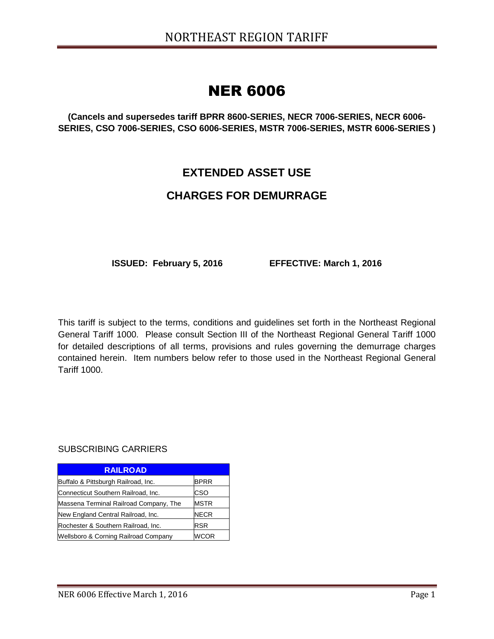# NER 6006

**(Cancels and supersedes tariff BPRR 8600-SERIES, NECR 7006-SERIES, NECR 6006- SERIES, CSO 7006-SERIES, CSO 6006-SERIES, MSTR 7006-SERIES, MSTR 6006-SERIES )**

## **EXTENDED ASSET USE**

## **CHARGES FOR DEMURRAGE**

**ISSUED: February 5, 2016 EFFECTIVE: March 1, 2016**

This tariff is subject to the terms, conditions and guidelines set forth in the Northeast Regional General Tariff 1000. Please consult Section III of the Northeast Regional General Tariff 1000 for detailed descriptions of all terms, provisions and rules governing the demurrage charges contained herein. Item numbers below refer to those used in the Northeast Regional General Tariff 1000.

#### SUBSCRIBING CARRIERS

| <b>RAILROAD</b>                        |             |
|----------------------------------------|-------------|
| Buffalo & Pittsburgh Railroad, Inc.    | <b>BPRR</b> |
| Connecticut Southern Railroad, Inc.    | CSO         |
| Massena Terminal Railroad Company, The | <b>MSTR</b> |
| New England Central Railroad, Inc.     | <b>NECR</b> |
| Rochester & Southern Railroad, Inc.    | <b>RSR</b>  |
| Wellsboro & Corning Railroad Company   |             |